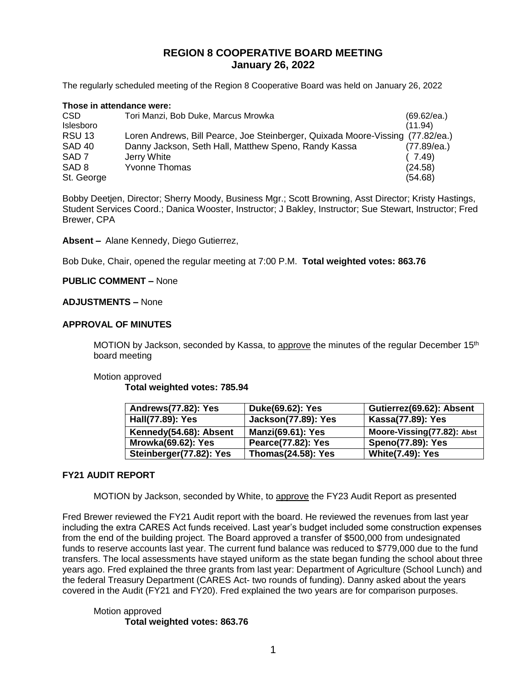# **REGION 8 COOPERATIVE BOARD MEETING January 26, 2022**

The regularly scheduled meeting of the Region 8 Cooperative Board was held on January 26, 2022

| Those in attendance were: |                                                                                |             |  |
|---------------------------|--------------------------------------------------------------------------------|-------------|--|
| CSD                       | Tori Manzi, Bob Duke, Marcus Mrowka                                            | (69.62/ea.) |  |
| Islesboro                 |                                                                                | (11.94)     |  |
| <b>RSU 13</b>             | Loren Andrews, Bill Pearce, Joe Steinberger, Quixada Moore-Vissing (77.82/ea.) |             |  |
| <b>SAD 40</b>             | Danny Jackson, Seth Hall, Matthew Speno, Randy Kassa                           | (77.89/ea.) |  |
| SAD <sub>7</sub>          | Jerry White                                                                    | (7.49)      |  |
| SAD <sub>8</sub>          | <b>Yvonne Thomas</b>                                                           | (24.58)     |  |
| St. George                |                                                                                | (54.68)     |  |

Bobby Deetjen, Director; Sherry Moody, Business Mgr.; Scott Browning, Asst Director; Kristy Hastings, Student Services Coord.; Danica Wooster, Instructor; J Bakley, Instructor; Sue Stewart, Instructor; Fred Brewer, CPA

**Absent –** Alane Kennedy, Diego Gutierrez,

Bob Duke, Chair, opened the regular meeting at 7:00 P.M. **Total weighted votes: 863.76**

## **PUBLIC COMMENT –** None

### **ADJUSTMENTS –** None

#### **APPROVAL OF MINUTES**

MOTION by Jackson, seconded by Kassa, to approve the minutes of the regular December 15<sup>th</sup> board meeting

#### Motion approved

**Total weighted votes: 785.94**

| Andrews(77.82): Yes       | Duke(69.62): Yes           | Gutierrez(69.62): Absent   |
|---------------------------|----------------------------|----------------------------|
| Hall(77.89): Yes          | <b>Jackson(77.89): Yes</b> | Kassa(77.89): Yes          |
| Kennedy(54.68): Absent    | <b>Manzi(69.61): Yes</b>   | Moore-Vissing(77.82): Abst |
| <b>Mrowka(69.62): Yes</b> | Pearce(77.82): Yes         | <b>Speno(77.89): Yes</b>   |
| Steinberger(77.82): Yes   | <b>Thomas(24.58): Yes</b>  | <b>White(7.49): Yes</b>    |

## **FY21 AUDIT REPORT**

MOTION by Jackson, seconded by White, to approve the FY23 Audit Report as presented

Fred Brewer reviewed the FY21 Audit report with the board. He reviewed the revenues from last year including the extra CARES Act funds received. Last year's budget included some construction expenses from the end of the building project. The Board approved a transfer of \$500,000 from undesignated funds to reserve accounts last year. The current fund balance was reduced to \$779,000 due to the fund transfers. The local assessments have stayed uniform as the state began funding the school about three years ago. Fred explained the three grants from last year: Department of Agriculture (School Lunch) and the federal Treasury Department (CARES Act- two rounds of funding). Danny asked about the years covered in the Audit (FY21 and FY20). Fred explained the two years are for comparison purposes.

Motion approved **Total weighted votes: 863.76**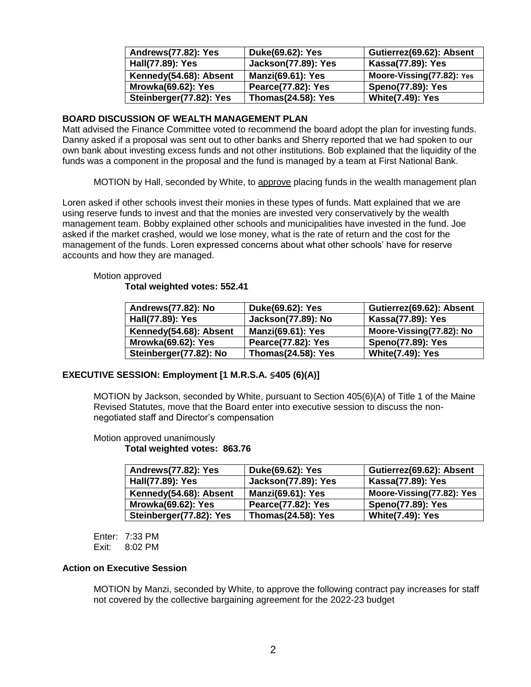| <b>Andrews(77.82): Yes</b> | Duke(69.62): Yes           | Gutierrez(69.62): Absent  |
|----------------------------|----------------------------|---------------------------|
| Hall(77.89): Yes           | <b>Jackson(77.89): Yes</b> | Kassa(77.89): Yes         |
| Kennedy(54.68): Absent     | <b>Manzi(69.61): Yes</b>   | Moore-Vissing(77.82): Yes |
| <b>Mrowka(69.62): Yes</b>  | Pearce(77.82): Yes         | <b>Speno(77.89): Yes</b>  |
| Steinberger(77.82): Yes    | <b>Thomas(24.58): Yes</b>  | <b>White(7.49): Yes</b>   |

## **BOARD DISCUSSION OF WEALTH MANAGEMENT PLAN**

Matt advised the Finance Committee voted to recommend the board adopt the plan for investing funds. Danny asked if a proposal was sent out to other banks and Sherry reported that we had spoken to our own bank about investing excess funds and not other institutions. Bob explained that the liquidity of the funds was a component in the proposal and the fund is managed by a team at First National Bank.

MOTION by Hall, seconded by White, to approve placing funds in the wealth management plan

Loren asked if other schools invest their monies in these types of funds. Matt explained that we are using reserve funds to invest and that the monies are invested very conservatively by the wealth management team. Bobby explained other schools and municipalities have invested in the fund. Joe asked if the market crashed, would we lose money, what is the rate of return and the cost for the management of the funds. Loren expressed concerns about what other schools' have for reserve accounts and how they are managed.

#### Motion approved **Total weighted votes: 552.41**

| <b>Andrews(77.82): No</b> | Duke(69.62): Yes          | Gutierrez(69.62): Absent |
|---------------------------|---------------------------|--------------------------|
| Hall(77.89): Yes          | Jackson(77.89): No        | Kassa(77.89): Yes        |
| Kennedy(54.68): Absent    | <b>Manzi(69.61): Yes</b>  | Moore-Vissing(77.82): No |
| <b>Mrowka(69.62): Yes</b> | Pearce(77.82): Yes        | <b>Speno(77.89): Yes</b> |
| Steinberger(77.82): No    | <b>Thomas(24.58): Yes</b> | <b>White(7.49): Yes</b>  |

## **EXECUTIVE SESSION: Employment [1 M.R.S.A. §405 (6)(A)]**

MOTION by Jackson, seconded by White, pursuant to Section 405(6)(A) of Title 1 of the Maine Revised Statutes, move that the Board enter into executive session to discuss the nonnegotiated staff and Director's compensation

### Motion approved unanimously **Total weighted votes: 863.76**

| Andrews(77.82): Yes       | Duke(69.62): Yes           | Gutierrez(69.62): Absent  |
|---------------------------|----------------------------|---------------------------|
| Hall(77.89): Yes          | <b>Jackson(77.89): Yes</b> | Kassa(77.89): Yes         |
| Kennedy(54.68): Absent    | <b>Manzi(69.61): Yes</b>   | Moore-Vissing(77.82): Yes |
| <b>Mrowka(69.62): Yes</b> | Pearce(77.82): Yes         | <b>Speno(77.89): Yes</b>  |
| Steinberger(77.82): Yes   | <b>Thomas(24.58): Yes</b>  | <b>White(7.49): Yes</b>   |

Enter: 7:33 PM Exit: 8:02 PM

# **Action on Executive Session**

MOTION by Manzi, seconded by White, to approve the following contract pay increases for staff not covered by the collective bargaining agreement for the 2022-23 budget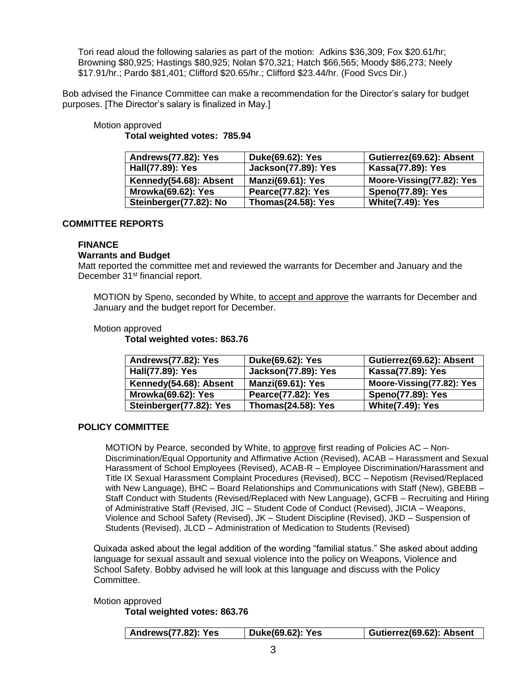Tori read aloud the following salaries as part of the motion: Adkins \$36,309; Fox \$20.61/hr; Browning \$80,925; Hastings \$80,925; Nolan \$70,321; Hatch \$66,565; Moody \$86,273; Neely \$17.91/hr.; Pardo \$81,401; Clifford \$20.65/hr.; Clifford \$23.44/hr. (Food Svcs Dir.)

Bob advised the Finance Committee can make a recommendation for the Director's salary for budget purposes. [The Director's salary is finalized in May.]

# Motion approved **Total weighted votes: 785.94**

| Andrews(77.82): Yes       | Duke(69.62): Yes           | Gutierrez(69.62): Absent  |
|---------------------------|----------------------------|---------------------------|
| Hall(77.89): Yes          | <b>Jackson(77.89): Yes</b> | Kassa(77.89): Yes         |
| Kennedy(54.68): Absent    | <b>Manzi(69.61): Yes</b>   | Moore-Vissing(77.82): Yes |
| <b>Mrowka(69.62): Yes</b> | <b>Pearce(77.82): Yes</b>  | <b>Speno(77.89): Yes</b>  |
| Steinberger(77.82): No    | <b>Thomas(24.58): Yes</b>  | <b>White(7.49): Yes</b>   |

## **COMMITTEE REPORTS**

### **FINANCE**

### **Warrants and Budget**

Matt reported the committee met and reviewed the warrants for December and January and the December 31<sup>st</sup> financial report.

MOTION by Speno, seconded by White, to accept and approve the warrants for December and January and the budget report for December.

### Motion approved

**Total weighted votes: 863.76**

| Andrews(77.82): Yes       | Duke(69.62): Yes           | Gutierrez(69.62): Absent  |
|---------------------------|----------------------------|---------------------------|
| Hall(77.89): Yes          | <b>Jackson(77.89): Yes</b> | Kassa(77.89): Yes         |
| Kennedy(54.68): Absent    | <b>Manzi(69.61): Yes</b>   | Moore-Vissing(77.82): Yes |
| <b>Mrowka(69.62): Yes</b> | Pearce(77.82): Yes         | <b>Speno(77.89): Yes</b>  |
| Steinberger(77.82): Yes   | <b>Thomas(24.58): Yes</b>  | <b>White(7.49): Yes</b>   |

# **POLICY COMMITTEE**

MOTION by Pearce, seconded by White, to approve first reading of Policies AC – Non-Discrimination/Equal Opportunity and Affirmative Action (Revised), ACAB – Harassment and Sexual Harassment of School Employees (Revised), ACAB-R – Employee Discrimination/Harassment and Title IX Sexual Harassment Complaint Procedures (Revised), BCC – Nepotism (Revised/Replaced with New Language), BHC – Board Relationships and Communications with Staff (New), GBEBB – Staff Conduct with Students (Revised/Replaced with New Language), GCFB – Recruiting and Hiring of Administrative Staff (Revised, JIC – Student Code of Conduct (Revised), JICIA – Weapons, Violence and School Safety (Revised), JK – Student Discipline (Revised), JKD – Suspension of Students (Revised), JLCD – Administration of Medication to Students (Revised)

Quixada asked about the legal addition of the wording "familial status." She asked about adding language for sexual assault and sexual violence into the policy on Weapons, Violence and School Safety. Bobby advised he will look at this language and discuss with the Policy Committee.

Motion approved

**Total weighted votes: 863.76**

| <b>Andrews(77.82): Yes</b> | Duke(69.62): Yes | Gutierrez(69.62): Absent |
|----------------------------|------------------|--------------------------|
|                            |                  |                          |